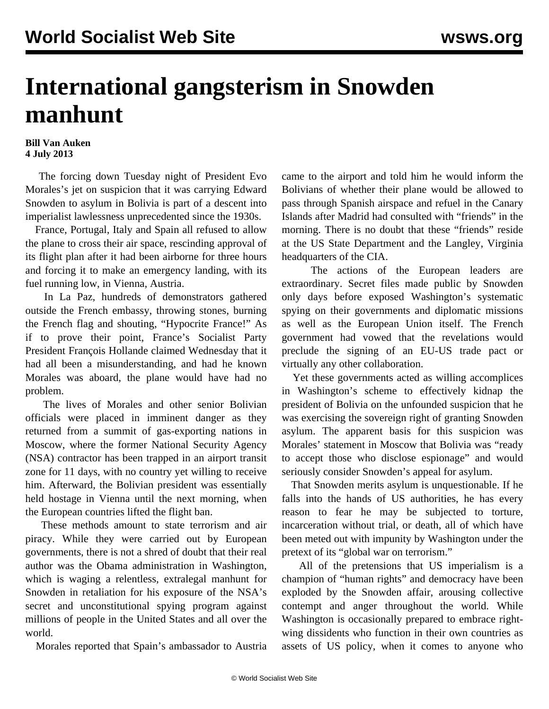## **International gangsterism in Snowden manhunt**

## **Bill Van Auken 4 July 2013**

 The forcing down Tuesday night of President Evo Morales's jet on suspicion that it was carrying Edward Snowden to asylum in Bolivia is part of a descent into imperialist lawlessness unprecedented since the 1930s.

 France, Portugal, Italy and Spain all refused to allow the plane to cross their air space, rescinding approval of its flight plan after it had been airborne for three hours and forcing it to make an emergency landing, with its fuel running low, in Vienna, Austria.

 In La Paz, hundreds of demonstrators gathered outside the French embassy, throwing stones, burning the French flag and shouting, "Hypocrite France!" As if to prove their point, France's Socialist Party President François Hollande claimed Wednesday that it had all been a misunderstanding, and had he known Morales was aboard, the plane would have had no problem.

 The lives of Morales and other senior Bolivian officials were placed in imminent danger as they returned from a summit of gas-exporting nations in Moscow, where the former National Security Agency (NSA) contractor has been trapped in an airport transit zone for 11 days, with no country yet willing to receive him. Afterward, the Bolivian president was essentially held hostage in Vienna until the next morning, when the European countries lifted the flight ban.

 These methods amount to state terrorism and air piracy. While they were carried out by European governments, there is not a shred of doubt that their real author was the Obama administration in Washington, which is waging a relentless, extralegal manhunt for Snowden in retaliation for his exposure of the NSA's secret and unconstitutional spying program against millions of people in the United States and all over the world.

Morales reported that Spain's ambassador to Austria

came to the airport and told him he would inform the Bolivians of whether their plane would be allowed to pass through Spanish airspace and refuel in the Canary Islands after Madrid had consulted with "friends" in the morning. There is no doubt that these "friends" reside at the US State Department and the Langley, Virginia headquarters of the CIA.

 The actions of the European leaders are extraordinary. Secret files made public by Snowden only days before exposed Washington's systematic spying on their governments and diplomatic missions as well as the European Union itself. The French government had vowed that the revelations would preclude the signing of an EU-US trade pact or virtually any other collaboration.

 Yet these governments acted as willing accomplices in Washington's scheme to effectively kidnap the president of Bolivia on the unfounded suspicion that he was exercising the sovereign right of granting Snowden asylum. The apparent basis for this suspicion was Morales' statement in Moscow that Bolivia was "ready to accept those who disclose espionage" and would seriously consider Snowden's appeal for asylum.

 That Snowden merits asylum is unquestionable. If he falls into the hands of US authorities, he has every reason to fear he may be subjected to torture, incarceration without trial, or death, all of which have been meted out with impunity by Washington under the pretext of its "global war on terrorism."

 All of the pretensions that US imperialism is a champion of "human rights" and democracy have been exploded by the Snowden affair, arousing collective contempt and anger throughout the world. While Washington is occasionally prepared to embrace rightwing dissidents who function in their own countries as assets of US policy, when it comes to anyone who